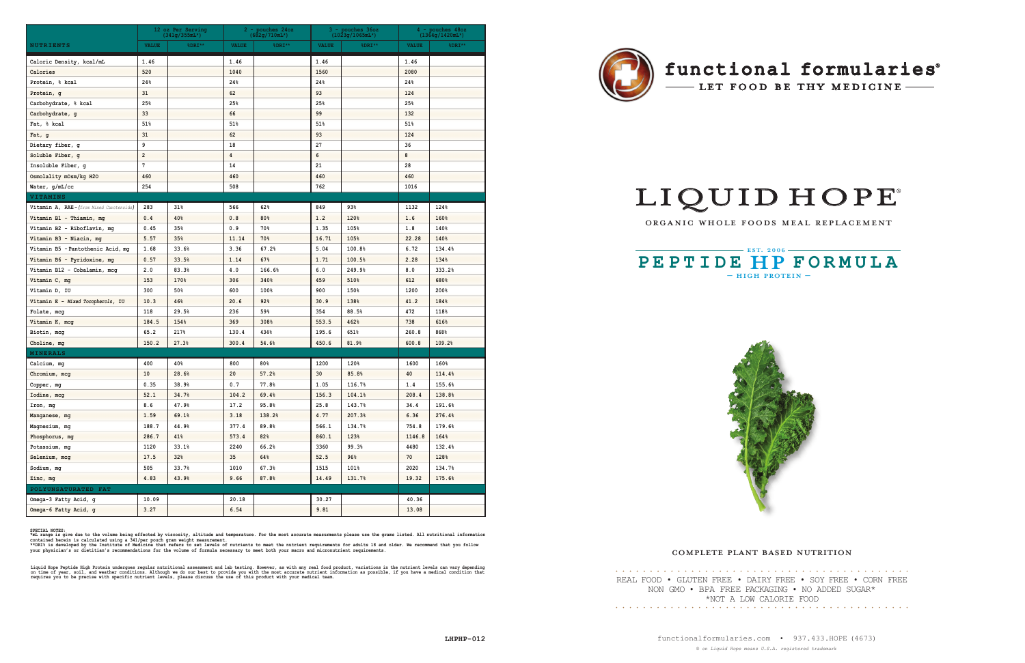# LIQUID HOPE

ORGANIC WHOLE FOODS MEAL REPLACEMENT

 $-$  HIGH PROTEIN  $-$ **PEPTIDE HP FORMULA** 



### COMPLETE PLANT BASED NUTRITION

## functional formularies<sup>®</sup>

- LET FOOD BE THY MEDICINE -

|                                         | 12 oz Per Serving<br>$(341g/355mL*)$ |        |              | $2$ - pouches $24oz$<br>$(682g/710mL^{*})$ |              | 3 - pouches 36oz<br>$(1023g/1065mL^{*})$ |              | 4 - pouches 48oz<br>$(1364g/1420mL^{*})$ |  |
|-----------------------------------------|--------------------------------------|--------|--------------|--------------------------------------------|--------------|------------------------------------------|--------------|------------------------------------------|--|
| <b>NUTRIENTS</b>                        | <b>VALUE</b>                         | %DRI** | <b>VALUE</b> | $8$ DRI**                                  | <b>VALUE</b> | $8$ DRI**                                | <b>VALUE</b> | %DRI**                                   |  |
| Caloric Density, kcal/mL                | 1.46                                 |        | 1.46         |                                            | 1.46         |                                          | 1.46         |                                          |  |
| Calories                                | 520                                  |        | 1040         |                                            | 1560         |                                          | 2080         |                                          |  |
| Protein, % kcal                         | 24%                                  |        | 24%          |                                            | 24%          |                                          | 24%          |                                          |  |
| Protein, g                              | 31                                   |        | 62           |                                            | 93           |                                          | 124          |                                          |  |
| Carbohydrate, % kcal                    | 25%                                  |        | 25%          |                                            | 25%          |                                          | 25%          |                                          |  |
| Carbohydrate, g                         | 33                                   |        | 66           |                                            | 99           |                                          | 132          |                                          |  |
| Fat, % kcal                             | 51%                                  |        | 51%          |                                            | 51%          |                                          | 51%          |                                          |  |
| Fat, g                                  | 31                                   |        | 62           |                                            | 93           |                                          | 124          |                                          |  |
| Dietary fiber, g                        | 9                                    |        | 18           |                                            | 27           |                                          | 36           |                                          |  |
| Soluble Fiber, g                        | $\overline{\mathbf{c}}$              |        | 4            |                                            | 6            |                                          | 8            |                                          |  |
| Insoluble Fiber, g                      | 7                                    |        | 14           |                                            | 21           |                                          | 28           |                                          |  |
| Osmolality mOsm/kg H2O                  | 460                                  |        | 460          |                                            | 460          |                                          | 460          |                                          |  |
| Water, g/mL/cc                          | 254                                  |        | 508          |                                            | 762          |                                          | 1016         |                                          |  |
| <b>VITAMINS</b>                         |                                      |        |              |                                            |              |                                          |              |                                          |  |
| Vitamin A, RAE-(from Mixed Carotenoids) | 283                                  | 31%    | 566          | 62%                                        | 849          | 93%                                      | 1132         | 124%                                     |  |
| Vitamin B1 - Thiamin, mg                | 0.4                                  | 40%    | 0.8          | 80%                                        | 1.2          | 120%                                     | 1.6          | 160%                                     |  |
| Vitamin B2 - Riboflavin, mg             | 0.45                                 | 35%    | 0.9          | 70%                                        | 1.35         | 105%                                     | 1.8          | 140%                                     |  |
| Vitamin B3 - Niacin, mg                 | 5.57                                 | 35%    | 11.14        | 70%                                        | 16.71        | 105%                                     | 22.28        | 140%                                     |  |
| Vitamin B5 - Pantothenic Acid, mg       | 1.68                                 | 33.6%  | 3.36         | 67.2%                                      | 5.04         | 100.8%                                   | 6.72         | 134.4%                                   |  |
| Vitamin B6 - Pyridoxine, mg             | 0.57                                 | 33.5%  | 1.14         | 67%                                        | 1.71         | 100.5%                                   | 2.28         | 134%                                     |  |
| Vitamin B12 - Cobalamin, mcg            | 2.0                                  | 83.3%  | 4.0          | 166.6%                                     | 6.0          | 249.9%                                   | 8.0          | 333.2%                                   |  |
| Vitamin C, mg                           | 153                                  | 170%   | 306          | 340%                                       | 459          | 510%                                     | 612          | 680%                                     |  |
| Vitamin D, IU                           | 300                                  | 50%    | 600          | 100%                                       | 900          | 150%                                     | 1200         | 200%                                     |  |
| Vitamin E - Mixed Tocopherols, IU       | 10.3                                 | 46%    | 20.6         | 92%                                        | 30.9         | 138%                                     | 41.2         | 184%                                     |  |
| Folate, mcg                             | 118                                  | 29.5%  | 236          | 59%                                        | 354          | 88.5%                                    | 472          | 118%                                     |  |
| Vitamin K, mcg                          | 184.5                                | 154%   | 369          | 308%                                       | 553.5        | 462%                                     | 738          | 616%                                     |  |
| Biotin, mcg                             | 65.2                                 | 217%   | 130.4        | 434%                                       | 195.6        | 651%                                     | 260.8        | 868%                                     |  |
| Choline, mg                             | 150.2                                | 27.3%  | 300.4        | 54.6%                                      | 450.6        | 81.9%                                    | 600.8        | 109.2%                                   |  |
| <b>MINERALS</b>                         |                                      |        |              |                                            |              |                                          |              |                                          |  |
| Calcium, mg                             | 400                                  | 40%    | 800          | 80%                                        | 1200         | 120%                                     | 1600         | 160%                                     |  |
| Chromium, mcg                           | 10                                   | 28.6%  | 20           | 57.2%                                      | 30           | 85.8%                                    | 40           | 114.4%                                   |  |
| Copper, mg                              | 0.35                                 | 38.9%  | 0.7          | 77.8%                                      | 1.05         | 116.7%                                   | 1.4          | 155.6%                                   |  |
| Iodine, mcg                             | 52.1                                 | 34.7%  | 104.2        | 69.4%                                      | 156.3        | 104.1%                                   | 208.4        | 138.8%                                   |  |
| Iron, mg                                | 8.6                                  | 47.9%  | 17.2         | 95.8%                                      | 25.8         | 143.7%                                   | 34.4         | 191.6%                                   |  |
| Manganese, mg                           | 1.59                                 | 69.1%  | 3.18         | 138.2%                                     | 4.77         | 207.3%                                   | 6.36         | 276.4%                                   |  |
| Magnesium, mg                           | 188.7                                | 44.9%  | 377.4        | 89.8%                                      | 566.1        | 134.7%                                   | 754.8        | 179.6%                                   |  |
| Phosphorus, mg                          | 286.7                                | 41%    | 573.4        | 82%                                        | 860.1        | 123%                                     | 1146.8       | 164%                                     |  |
| Potassium, mg                           | 1120                                 | 33.1%  | 2240         | 66.2%                                      | 3360         | 99.3%                                    | 4480         | 132.4%                                   |  |
| Selenium, mcg                           | 17.5                                 | 32%    | 35           | 64%                                        | 52.5         | 96%                                      | 70           | 128%                                     |  |
| Sodium, mg                              | 505                                  | 33.7%  | 1010         | 67.3%                                      | 1515         | 101%                                     | 2020         | 134.7%                                   |  |
| Zinc, mg                                | 4.83                                 | 43.9%  | 9.66         | 87.8%                                      | 14.49        | 131.7%                                   | 19.32        | 175.6%                                   |  |
| POLYUNSATURATED FAT                     |                                      |        |              |                                            |              |                                          |              |                                          |  |
| Omega-3 Fatty Acid, g                   | 10.09                                |        | 20.18        |                                            | 30.27        |                                          | 40.36        |                                          |  |
| Omega-6 Fatty Acid, g                   | 3.27                                 |        | 6.54         |                                            | 9.81         |                                          | 13.08        |                                          |  |





functionalformularies.com • 937.433.HOPE (4673) *® on Liquid Hope means U.S.A. registered trademark*

REAL FOOD • GLUTEN FREE • DAIRY FREE • SOY FREE • CORN FREE NON GMO • BPA FREE PACKAGING • NO ADDED SUGAR\* \*NOT A LOW CALORIE FOOD  $\cdots \cdots \cdots$ 

SPECIAL NOTES:<br>\*mL range is give due to the volume being effected by viscosity, altitude and temperature. For the most accurate measurments please use the grams listed. All nutritional information<br>contained herein is calcu

Liquid Hope Peptide High Protein undergoes regular nutritional assesment and lab testing. However, as with any real food product, variations in the nutrient levels can vary depending<br>on time of year, soil, and weather cond